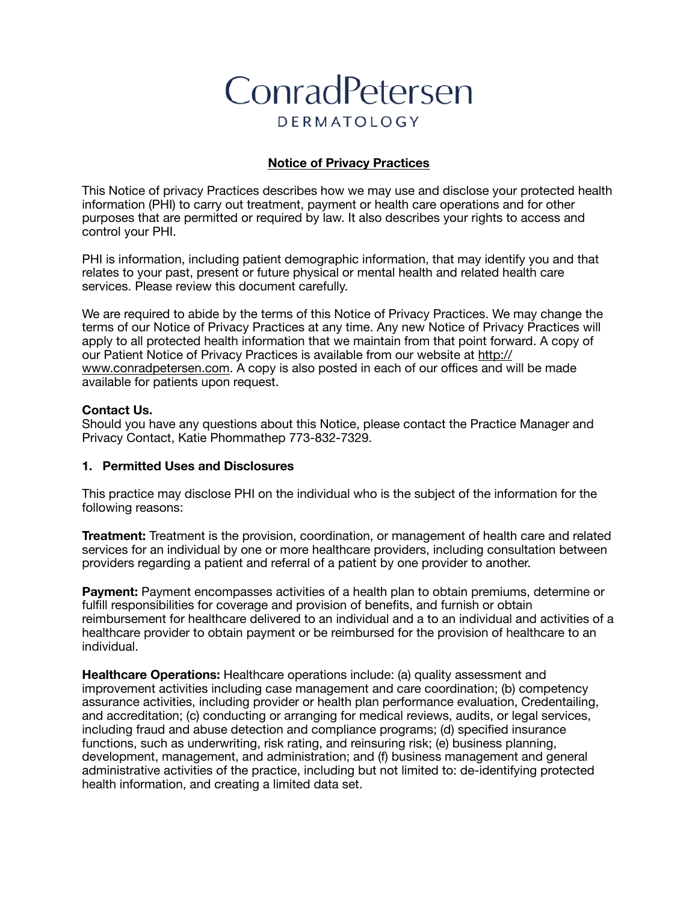# ConradPetersen **DERMATOLOGY**

## **Notice of Privacy Practices**

This Notice of privacy Practices describes how we may use and disclose your protected health information (PHI) to carry out treatment, payment or health care operations and for other purposes that are permitted or required by law. It also describes your rights to access and control your PHI.

PHI is information, including patient demographic information, that may identify you and that relates to your past, present or future physical or mental health and related health care services. Please review this document carefully.

We are required to abide by the terms of this Notice of Privacy Practices. We may change the terms of our Notice of Privacy Practices at any time. Any new Notice of Privacy Practices will apply to all protected health information that we maintain from that point forward. A copy of our Patient Notice of Privacy Practices is available from our website at [http://](http://www.conradpetersen.com) [www.conradpetersen.com.](http://www.conradpetersen.com) A copy is also posted in each of our offices and will be made available for patients upon request.

#### **Contact Us.**

Should you have any questions about this Notice, please contact the Practice Manager and Privacy Contact, Katie Phommathep 773-832-7329.

## **1. Permitted Uses and Disclosures**

This practice may disclose PHI on the individual who is the subject of the information for the following reasons:

**Treatment:** Treatment is the provision, coordination, or management of health care and related services for an individual by one or more healthcare providers, including consultation between providers regarding a patient and referral of a patient by one provider to another.

**Payment:** Payment encompasses activities of a health plan to obtain premiums, determine or fulfill responsibilities for coverage and provision of benefits, and furnish or obtain reimbursement for healthcare delivered to an individual and a to an individual and activities of a healthcare provider to obtain payment or be reimbursed for the provision of healthcare to an individual.

**Healthcare Operations:** Healthcare operations include: (a) quality assessment and improvement activities including case management and care coordination; (b) competency assurance activities, including provider or health plan performance evaluation, Credentailing, and accreditation; (c) conducting or arranging for medical reviews, audits, or legal services, including fraud and abuse detection and compliance programs; (d) specified insurance functions, such as underwriting, risk rating, and reinsuring risk; (e) business planning, development, management, and administration; and (f) business management and general administrative activities of the practice, including but not limited to: de-identifying protected health information, and creating a limited data set.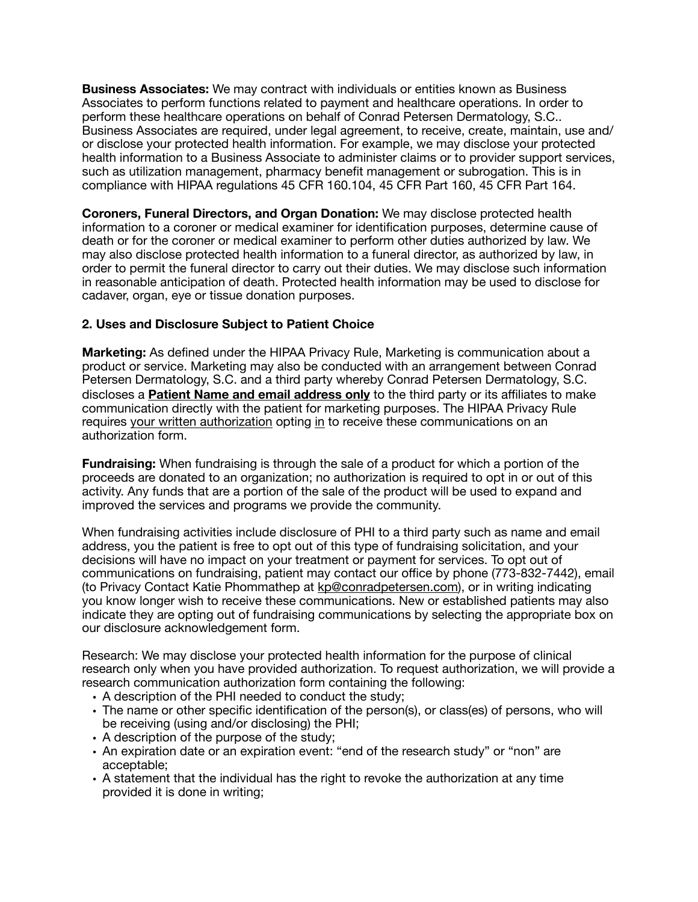**Business Associates:** We may contract with individuals or entities known as Business Associates to perform functions related to payment and healthcare operations. In order to perform these healthcare operations on behalf of Conrad Petersen Dermatology, S.C.. Business Associates are required, under legal agreement, to receive, create, maintain, use and/ or disclose your protected health information. For example, we may disclose your protected health information to a Business Associate to administer claims or to provider support services, such as utilization management, pharmacy benefit management or subrogation. This is in compliance with HIPAA regulations 45 CFR 160.104, 45 CFR Part 160, 45 CFR Part 164.

**Coroners, Funeral Directors, and Organ Donation:** We may disclose protected health information to a coroner or medical examiner for identification purposes, determine cause of death or for the coroner or medical examiner to perform other duties authorized by law. We may also disclose protected health information to a funeral director, as authorized by law, in order to permit the funeral director to carry out their duties. We may disclose such information in reasonable anticipation of death. Protected health information may be used to disclose for cadaver, organ, eye or tissue donation purposes.

## **2. Uses and Disclosure Subject to Patient Choice**

**Marketing:** As defined under the HIPAA Privacy Rule, Marketing is communication about a product or service. Marketing may also be conducted with an arrangement between Conrad Petersen Dermatology, S.C. and a third party whereby Conrad Petersen Dermatology, S.C. discloses a **Patient Name and email address only** to the third party or its affiliates to make communication directly with the patient for marketing purposes. The HIPAA Privacy Rule requires your written authorization opting in to receive these communications on an authorization form.

**Fundraising:** When fundraising is through the sale of a product for which a portion of the proceeds are donated to an organization; no authorization is required to opt in or out of this activity. Any funds that are a portion of the sale of the product will be used to expand and improved the services and programs we provide the community.

When fundraising activities include disclosure of PHI to a third party such as name and email address, you the patient is free to opt out of this type of fundraising solicitation, and your decisions will have no impact on your treatment or payment for services. To opt out of communications on fundraising, patient may contact our office by phone (773-832-7442), email (to Privacy Contact Katie Phommathep at [kp@conradpetersen.com\)](mailto:kp@conradpetersen.com), or in writing indicating you know longer wish to receive these communications. New or established patients may also indicate they are opting out of fundraising communications by selecting the appropriate box on our disclosure acknowledgement form.

Research: We may disclose your protected health information for the purpose of clinical research only when you have provided authorization. To request authorization, we will provide a research communication authorization form containing the following:

- A description of the PHI needed to conduct the study;
- The name or other specific identification of the person(s), or class(es) of persons, who will be receiving (using and/or disclosing) the PHI;
- A description of the purpose of the study;
- An expiration date or an expiration event: "end of the research study" or "non" are acceptable;
- A statement that the individual has the right to revoke the authorization at any time provided it is done in writing;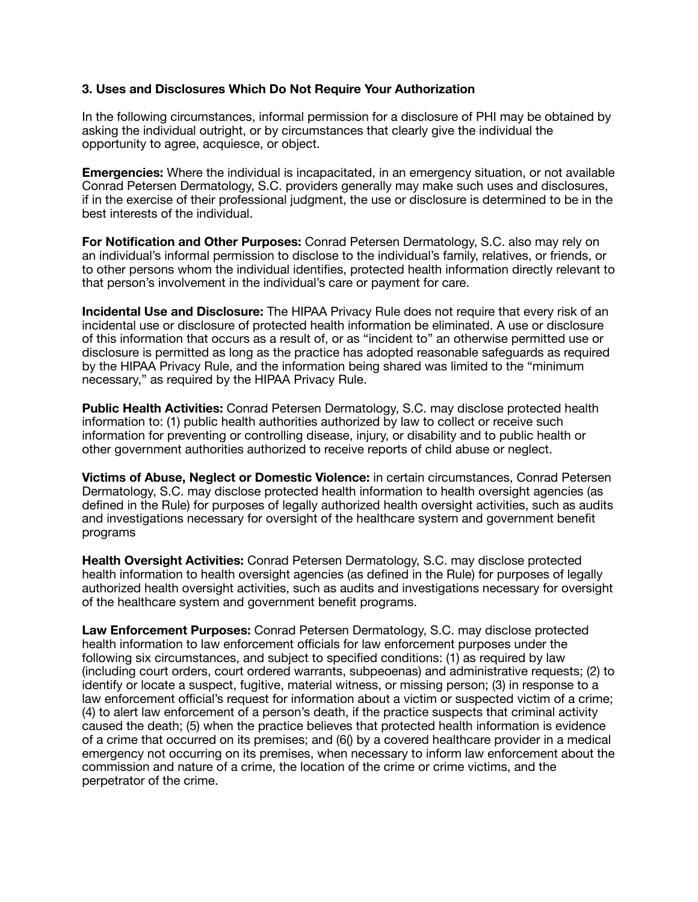### **3. Uses and Disclosures Which Do Not Require Your Authorization**

In the following circumstances, informal permission for a disclosure of PHI may be obtained by asking the individual outright, or by circumstances that clearly give the individual the opportunity to agree, acquiesce, or object.

**Emergencies:** Where the individual is incapacitated, in an emergency situation, or not available Conrad Petersen Dermatology, S.C. providers generally may make such uses and disclosures, if in the exercise of their professional judgment, the use or disclosure is determined to be in the best interests of the individual.

**For Notification and Other Purposes:** Conrad Petersen Dermatology, S.C. also may rely on an individual's informal permission to disclose to the individual's family, relatives, or friends, or to other persons whom the individual identifies, protected health information directly relevant to that person's involvement in the individual's care or payment for care.

**Incidental Use and Disclosure:** The HIPAA Privacy Rule does not require that every risk of an incidental use or disclosure of protected health information be eliminated. A use or disclosure of this information that occurs as a result of, or as "incident to" an otherwise permitted use or disclosure is permitted as long as the practice has adopted reasonable safeguards as required by the HIPAA Privacy Rule, and the information being shared was limited to the "minimum necessary," as required by the HIPAA Privacy Rule.

**Public Health Activities:** Conrad Petersen Dermatology, S.C. may disclose protected health information to: (1) public health authorities authorized by law to collect or receive such information for preventing or controlling disease, injury, or disability and to public health or other government authorities authorized to receive reports of child abuse or neglect.

**Victims of Abuse, Neglect or Domestic Violence:** in certain circumstances, Conrad Petersen Dermatology, S.C. may disclose protected health information to health oversight agencies (as defined in the Rule) for purposes of legally authorized health oversight activities, such as audits and investigations necessary for oversight of the healthcare system and government benefit programs

**Health Oversight Activities:** Conrad Petersen Dermatology, S.C. may disclose protected health information to health oversight agencies (as defined in the Rule) for purposes of legally authorized health oversight activities, such as audits and investigations necessary for oversight of the healthcare system and government benefit programs.

**Law Enforcement Purposes:** Conrad Petersen Dermatology, S.C. may disclose protected health information to law enforcement officials for law enforcement purposes under the following six circumstances, and subject to specified conditions: (1) as required by law (including court orders, court ordered warrants, subpeoenas) and administrative requests; (2) to identify or locate a suspect, fugitive, material witness, or missing person; (3) in response to a law enforcement official's request for information about a victim or suspected victim of a crime; (4) to alert law enforcement of a person's death, if the practice suspects that criminal activity caused the death; (5) when the practice believes that protected health information is evidence of a crime that occurred on its premises; and (6() by a covered healthcare provider in a medical emergency not occurring on its premises, when necessary to inform law enforcement about the commission and nature of a crime, the location of the crime or crime victims, and the perpetrator of the crime.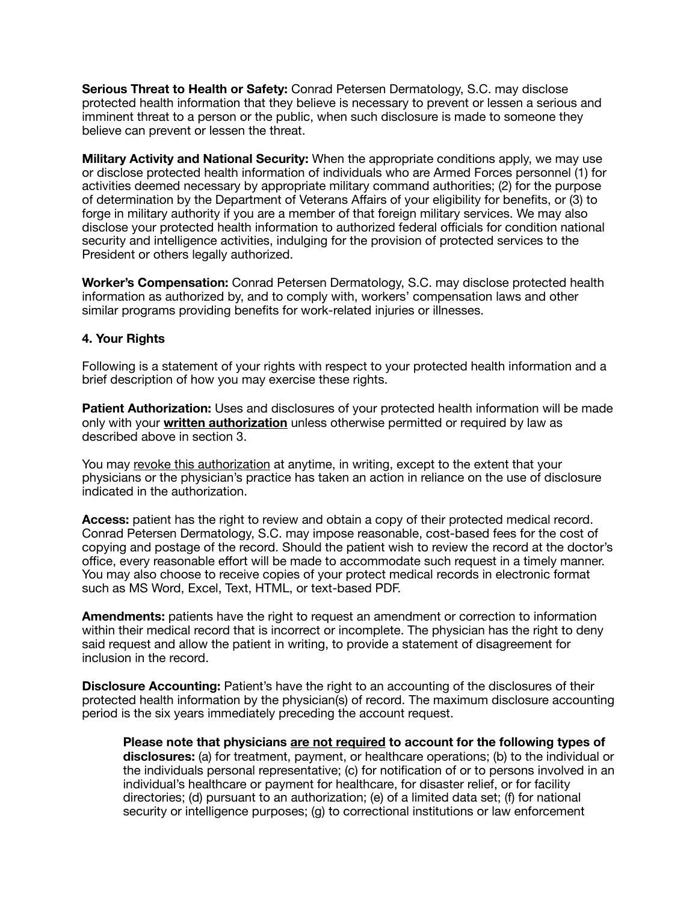**Serious Threat to Health or Safety:** Conrad Petersen Dermatology, S.C. may disclose protected health information that they believe is necessary to prevent or lessen a serious and imminent threat to a person or the public, when such disclosure is made to someone they believe can prevent or lessen the threat.

**Military Activity and National Security:** When the appropriate conditions apply, we may use or disclose protected health information of individuals who are Armed Forces personnel (1) for activities deemed necessary by appropriate military command authorities; (2) for the purpose of determination by the Department of Veterans Affairs of your eligibility for benefits, or (3) to forge in military authority if you are a member of that foreign military services. We may also disclose your protected health information to authorized federal officials for condition national security and intelligence activities, indulging for the provision of protected services to the President or others legally authorized.

**Worker's Compensation:** Conrad Petersen Dermatology, S.C. may disclose protected health information as authorized by, and to comply with, workers' compensation laws and other similar programs providing benefits for work-related injuries or illnesses.

## **4. Your Rights**

Following is a statement of your rights with respect to your protected health information and a brief description of how you may exercise these rights.

**Patient Authorization:** Uses and disclosures of your protected health information will be made only with your **written authorization** unless otherwise permitted or required by law as described above in section 3.

You may revoke this authorization at anytime, in writing, except to the extent that your physicians or the physician's practice has taken an action in reliance on the use of disclosure indicated in the authorization.

**Access:** patient has the right to review and obtain a copy of their protected medical record. Conrad Petersen Dermatology, S.C. may impose reasonable, cost-based fees for the cost of copying and postage of the record. Should the patient wish to review the record at the doctor's office, every reasonable effort will be made to accommodate such request in a timely manner. You may also choose to receive copies of your protect medical records in electronic format such as MS Word, Excel, Text, HTML, or text-based PDF.

**Amendments:** patients have the right to request an amendment or correction to information within their medical record that is incorrect or incomplete. The physician has the right to deny said request and allow the patient in writing, to provide a statement of disagreement for inclusion in the record.

**Disclosure Accounting:** Patient's have the right to an accounting of the disclosures of their protected health information by the physician(s) of record. The maximum disclosure accounting period is the six years immediately preceding the account request.

**Please note that physicians are not required to account for the following types of disclosures:** (a) for treatment, payment, or healthcare operations; (b) to the individual or the individuals personal representative; (c) for notification of or to persons involved in an individual's healthcare or payment for healthcare, for disaster relief, or for facility directories; (d) pursuant to an authorization; (e) of a limited data set; (f) for national security or intelligence purposes; (g) to correctional institutions or law enforcement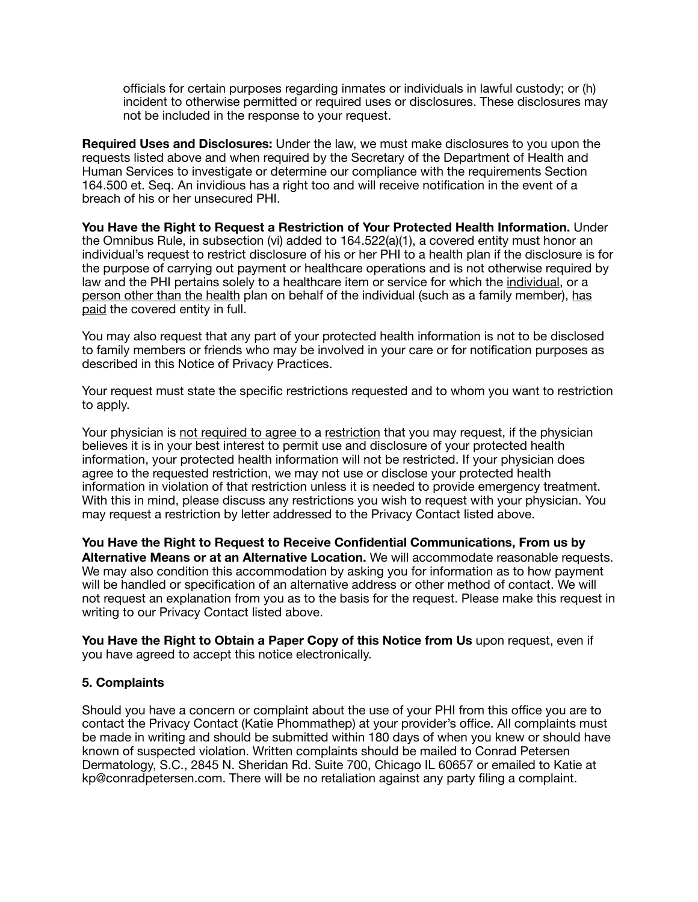officials for certain purposes regarding inmates or individuals in lawful custody; or (h) incident to otherwise permitted or required uses or disclosures. These disclosures may not be included in the response to your request.

**Required Uses and Disclosures:** Under the law, we must make disclosures to you upon the requests listed above and when required by the Secretary of the Department of Health and Human Services to investigate or determine our compliance with the requirements Section 164.500 et. Seq. An invidious has a right too and will receive notification in the event of a breach of his or her unsecured PHI.

**You Have the Right to Request a Restriction of Your Protected Health Information.** Under the Omnibus Rule, in subsection (vi) added to 164.522(a)(1), a covered entity must honor an individual's request to restrict disclosure of his or her PHI to a health plan if the disclosure is for the purpose of carrying out payment or healthcare operations and is not otherwise required by law and the PHI pertains solely to a healthcare item or service for which the individual, or a person other than the health plan on behalf of the individual (such as a family member), has paid the covered entity in full.

You may also request that any part of your protected health information is not to be disclosed to family members or friends who may be involved in your care or for notification purposes as described in this Notice of Privacy Practices.

Your request must state the specific restrictions requested and to whom you want to restriction to apply.

Your physician is not required to agree to a restriction that you may request, if the physician believes it is in your best interest to permit use and disclosure of your protected health information, your protected health information will not be restricted. If your physician does agree to the requested restriction, we may not use or disclose your protected health information in violation of that restriction unless it is needed to provide emergency treatment. With this in mind, please discuss any restrictions you wish to request with your physician. You may request a restriction by letter addressed to the Privacy Contact listed above.

**You Have the Right to Request to Receive Confidential Communications, From us by Alternative Means or at an Alternative Location.** We will accommodate reasonable requests. We may also condition this accommodation by asking you for information as to how payment will be handled or specification of an alternative address or other method of contact. We will not request an explanation from you as to the basis for the request. Please make this request in writing to our Privacy Contact listed above.

**You Have the Right to Obtain a Paper Copy of this Notice from Us** upon request, even if you have agreed to accept this notice electronically.

#### **5. Complaints**

Should you have a concern or complaint about the use of your PHI from this office you are to contact the Privacy Contact (Katie Phommathep) at your provider's office. All complaints must be made in writing and should be submitted within 180 days of when you knew or should have known of suspected violation. Written complaints should be mailed to Conrad Petersen Dermatology, S.C., 2845 N. Sheridan Rd. Suite 700, Chicago IL 60657 or emailed to Katie at kp@conradpetersen.com. There will be no retaliation against any party filing a complaint.